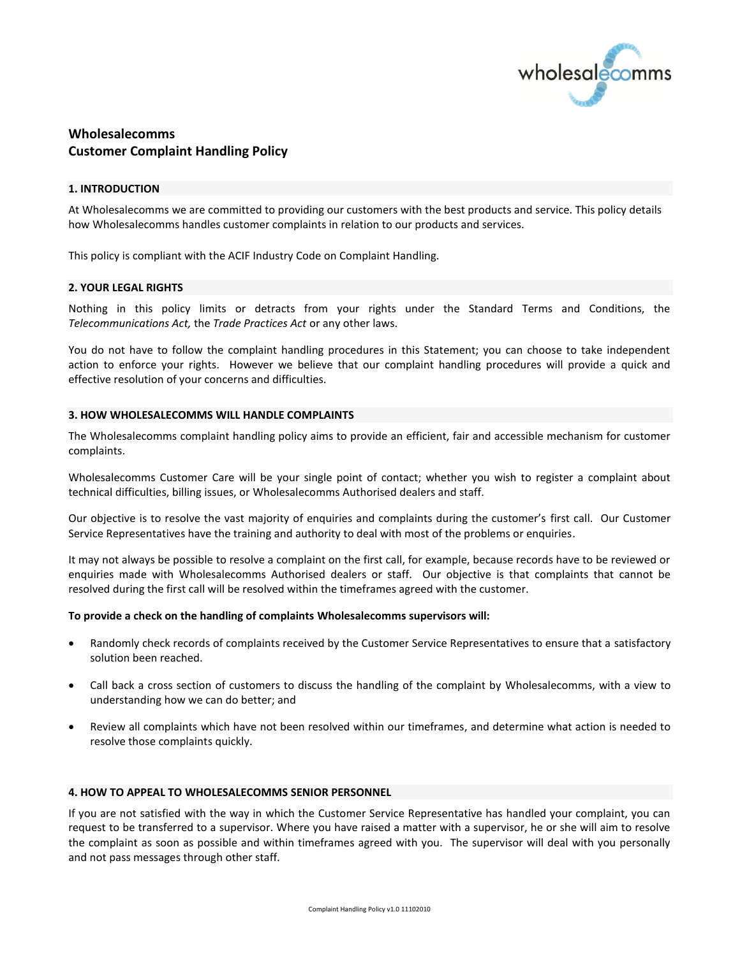

# **Wholesalecomms Customer Complaint Handling Policy**

### **1. INTRODUCTION**

At Wholesalecomms we are committed to providing our customers with the best products and service. This policy details how Wholesalecomms handles customer complaints in relation to our products and services.

This policy is compliant with the ACIF Industry Code on Complaint Handling.

### **2. YOUR LEGAL RIGHTS**

Nothing in this policy limits or detracts from your rights under the Standard Terms and Conditions, the *Telecommunications Act,* the *Trade Practices Act* or any other laws.

You do not have to follow the complaint handling procedures in this Statement; you can choose to take independent action to enforce your rights. However we believe that our complaint handling procedures will provide a quick and effective resolution of your concerns and difficulties.

### **3. HOW WHOLESALECOMMS WILL HANDLE COMPLAINTS**

The Wholesalecomms complaint handling policy aims to provide an efficient, fair and accessible mechanism for customer complaints.

Wholesalecomms Customer Care will be your single point of contact; whether you wish to register a complaint about technical difficulties, billing issues, or Wholesalecomms Authorised dealers and staff.

Our objective is to resolve the vast majority of enquiries and complaints during the customer's first call. Our Customer Service Representatives have the training and authority to deal with most of the problems or enquiries.

It may not always be possible to resolve a complaint on the first call, for example, because records have to be reviewed or enquiries made with Wholesalecomms Authorised dealers or staff. Our objective is that complaints that cannot be resolved during the first call will be resolved within the timeframes agreed with the customer.

### **To provide a check on the handling of complaints Wholesalecomms supervisors will:**

- Randomly check records of complaints received by the Customer Service Representatives to ensure that a satisfactory solution been reached.
- Call back a cross section of customers to discuss the handling of the complaint by Wholesalecomms, with a view to understanding how we can do better; and
- Review all complaints which have not been resolved within our timeframes, and determine what action is needed to resolve those complaints quickly.

## **4. HOW TO APPEAL TO WHOLESALECOMMS SENIOR PERSONNEL**

If you are not satisfied with the way in which the Customer Service Representative has handled your complaint, you can request to be transferred to a supervisor. Where you have raised a matter with a supervisor, he or she will aim to resolve the complaint as soon as possible and within timeframes agreed with you. The supervisor will deal with you personally and not pass messages through other staff.